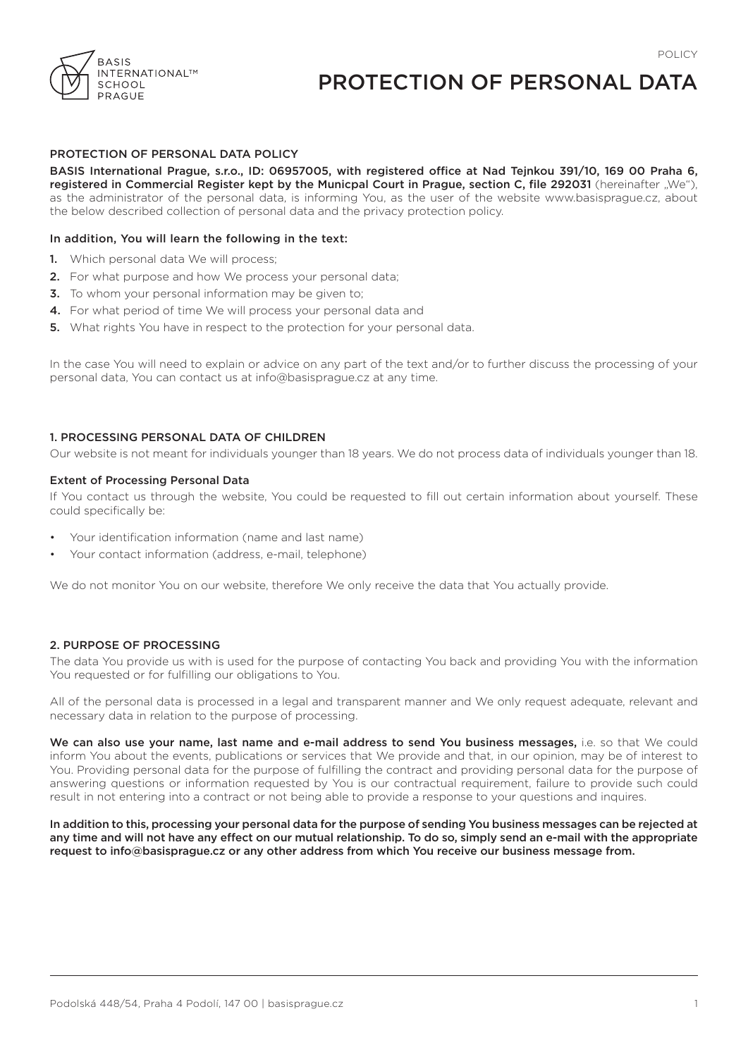

# PROTECTION OF PERSONAL DATA

# PROTECTION OF PERSONAL DATA POLICY

BASIS International Prague, s.r.o., ID: 06957005, with registered office at Nad Tejnkou 391/10, 169 00 Praha 6, registered in Commercial Register kept by the Municpal Court in Prague, section C, file 292031 (hereinafter "We"), as the administrator of the personal data, is informing You, as the user of the website www.basisprague.cz, about the below described collection of personal data and the privacy protection policy.

#### In addition, You will learn the following in the text:

- 1. Which personal data We will process;
- 2. For what purpose and how We process your personal data;
- 3. To whom your personal information may be given to;
- 4. For what period of time We will process your personal data and
- **5.** What rights You have in respect to the protection for your personal data.

In the case You will need to explain or advice on any part of the text and/or to further discuss the processing of your personal data, You can contact us at info@basisprague.cz at any time.

### 1. PROCESSING PERSONAL DATA OF CHILDREN

Our website is not meant for individuals younger than 18 years. We do not process data of individuals younger than 18.

#### Extent of Processing Personal Data

If You contact us through the website, You could be requested to fill out certain information about yourself. These could specifically be:

- Your identification information (name and last name)
- Your contact information (address, e-mail, telephone)

We do not monitor You on our website, therefore We only receive the data that You actually provide.

#### 2. PURPOSE OF PROCESSING

The data You provide us with is used for the purpose of contacting You back and providing You with the information You requested or for fulfilling our obligations to You.

All of the personal data is processed in a legal and transparent manner and We only request adequate, relevant and necessary data in relation to the purpose of processing.

We can also use your name, last name and e-mail address to send You business messages, i.e. so that We could inform You about the events, publications or services that We provide and that, in our opinion, may be of interest to You. Providing personal data for the purpose of fulfilling the contract and providing personal data for the purpose of answering questions or information requested by You is our contractual requirement, failure to provide such could result in not entering into a contract or not being able to provide a response to your questions and inquires.

In addition to this, processing your personal data for the purpose of sending You business messages can be rejected at any time and will not have any effect on our mutual relationship. To do so, simply send an e-mail with the appropriate request to info@basisprague.cz or any other address from which You receive our business message from.